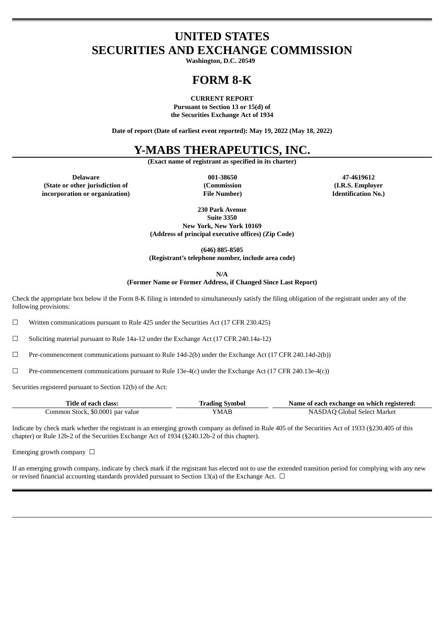## **UNITED STATES SECURITIES AND EXCHANGE COMMISSION**

**Washington, D.C. 20549**

# **FORM 8-K**

**CURRENT REPORT**

**Pursuant to Section 13 or 15(d) of the Securities Exchange Act of 1934**

**Date of report (Date of earliest event reported): May 19, 2022 (May 18, 2022)**

## **Y-MABS THERAPEUTICS, INC.**

**(Exact name of registrant as specified in its charter)**

**Delaware 001-38650 47-4619612 (State or other jurisdiction of incorporation or organization)**

**(Commission File Number)**

**(I.R.S. Employer Identification No.)**

**230 Park Avenue Suite 3350 New York, New York 10169 (Address of principal executive offices) (Zip Code)**

**(646) 885-8505 (Registrant's telephone number, include area code)**

**N/A**

**(Former Name or Former Address, if Changed Since Last Report)**

Check the appropriate box below if the Form 8-K filing is intended to simultaneously satisfy the filing obligation of the registrant under any of the following provisions:

☐ Written communications pursuant to Rule 425 under the Securities Act (17 CFR 230.425)

☐ Soliciting material pursuant to Rule 14a-12 under the Exchange Act (17 CFR 240.14a-12)

☐ Pre-commencement communications pursuant to Rule 14d-2(b) under the Exchange Act (17 CFR 240.14d-2(b))

☐ Pre-commencement communications pursuant to Rule 13e-4(c) under the Exchange Act (17 CFR 240.13e-4(c))

Securities registered pursuant to Section 12(b) of the Act:

| Title of each class:             | <b>Trading Symbol</b> | Name of each exchange on which registered: |
|----------------------------------|-----------------------|--------------------------------------------|
| Common Stock, \$0.0001 par value | YMAB                  | NASDAQ Global Select Market                |

Indicate by check mark whether the registrant is an emerging growth company as defined in Rule 405 of the Securities Act of 1933 (§230.405 of this chapter) or Rule 12b-2 of the Securities Exchange Act of 1934 (§240.12b-2 of this chapter).

Emerging growth company  $\Box$ 

If an emerging growth company, indicate by check mark if the registrant has elected not to use the extended transition period for complying with any new or revised financial accounting standards provided pursuant to Section 13(a) of the Exchange Act.  $\Box$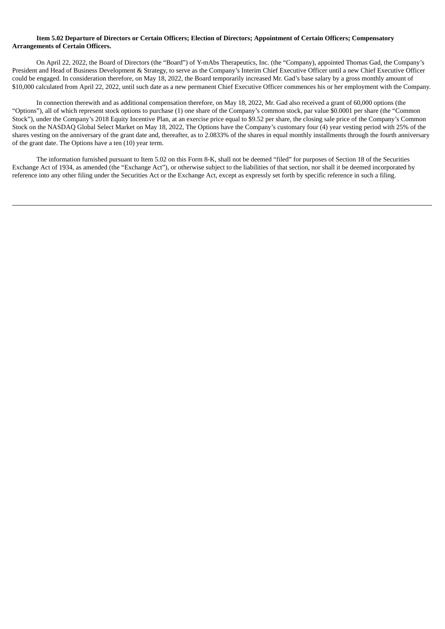#### Item 5.02 Departure of Directors or Certain Officers: Election of Directors: Appointment of Certain Officers: Compensatory **Arrangements of Certain Officers.**

On April 22, 2022, the Board of Directors (the "Board") of Y-mAbs Therapeutics, Inc. (the "Company), appointed Thomas Gad, the Company's President and Head of Business Development & Strategy, to serve as the Company's Interim Chief Executive Officer until a new Chief Executive Officer could be engaged. In consideration therefore, on May 18, 2022, the Board temporarily increased Mr. Gad's base salary by a gross monthly amount of \$10,000 calculated from April 22, 2022, until such date as a new permanent Chief Executive Officer commences his or her employment with the Company.

In connection therewith and as additional compensation therefore, on May 18, 2022, Mr. Gad also received a grant of 60,000 options (the "Options"), all of which represent stock options to purchase (1) one share of the Company's common stock, par value \$0.0001 per share (the "Common Stock"), under the Company's 2018 Equity Incentive Plan, at an exercise price equal to \$9.52 per share, the closing sale price of the Company's Common Stock on the NASDAQ Global Select Market on May 18, 2022, The Options have the Company's customary four (4) year vesting period with 25% of the shares vesting on the anniversary of the grant date and, thereafter, as to 2.0833% of the shares in equal monthly installments through the fourth anniversary of the grant date. The Options have a ten (10) year term.

The information furnished pursuant to Item 5.02 on this Form 8-K, shall not be deemed "filed" for purposes of Section 18 of the Securities Exchange Act of 1934, as amended (the "Exchange Act"), or otherwise subject to the liabilities of that section, nor shall it be deemed incorporated by reference into any other filing under the Securities Act or the Exchange Act, except as expressly set forth by specific reference in such a filing.